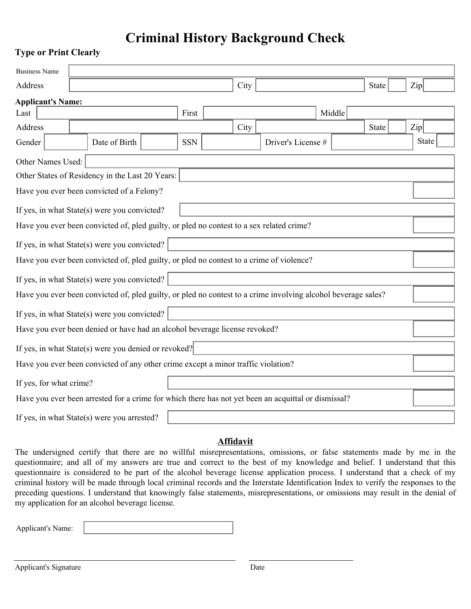## **Criminal History Background Check**

## **Type or Print Clearly**

| <b>Business Name</b>                                                                                          |                          |                      |                                              |  |            |  |      |                                                                                                     |        |              |              |  |
|---------------------------------------------------------------------------------------------------------------|--------------------------|----------------------|----------------------------------------------|--|------------|--|------|-----------------------------------------------------------------------------------------------------|--------|--------------|--------------|--|
| <b>Address</b>                                                                                                |                          |                      |                                              |  |            |  | City |                                                                                                     |        | <b>State</b> | Zip          |  |
|                                                                                                               | <b>Applicant's Name:</b> |                      |                                              |  |            |  |      |                                                                                                     |        |              |              |  |
| Last                                                                                                          |                          |                      |                                              |  | First      |  |      |                                                                                                     | Middle |              |              |  |
| Address                                                                                                       |                          |                      |                                              |  |            |  | City |                                                                                                     |        | <b>State</b> | Zip          |  |
| Gender                                                                                                        |                          | $\blacktriangledown$ | Date of Birth                                |  | <b>SSN</b> |  |      | Driver's License #                                                                                  |        |              | <b>State</b> |  |
|                                                                                                               | Other Names Used:        |                      |                                              |  |            |  |      |                                                                                                     |        |              |              |  |
| Other States of Residency in the Last 20 Years:                                                               |                          |                      |                                              |  |            |  |      |                                                                                                     |        |              |              |  |
| Have you ever been convicted of a Felony?                                                                     |                          |                      |                                              |  |            |  |      |                                                                                                     |        |              |              |  |
| If yes, in what State(s) were you convicted?                                                                  |                          |                      |                                              |  |            |  |      |                                                                                                     |        |              |              |  |
| Have you ever been convicted of, pled guilty, or pled no contest to a sex related crime?                      |                          |                      |                                              |  |            |  |      |                                                                                                     |        |              |              |  |
| If yes, in what State(s) were you convicted?                                                                  |                          |                      |                                              |  |            |  |      |                                                                                                     |        |              |              |  |
| Have you ever been convicted of, pled guilty, or pled no contest to a crime of violence?                      |                          |                      |                                              |  |            |  |      | $\blacktriangledown$                                                                                |        |              |              |  |
| If yes, in what State(s) were you convicted?                                                                  |                          |                      |                                              |  |            |  |      |                                                                                                     |        |              |              |  |
| Have you ever been convicted of, pled guilty, or pled no contest to a crime involving alcohol beverage sales? |                          |                      |                                              |  |            |  |      |                                                                                                     |        |              |              |  |
|                                                                                                               |                          |                      | If yes, in what State(s) were you convicted? |  |            |  |      |                                                                                                     |        |              |              |  |
| Have you ever been denied or have had an alcohol beverage license revoked?                                    |                          |                      |                                              |  |            |  |      |                                                                                                     |        |              |              |  |
| If yes, in what State(s) were you denied or revoked?                                                          |                          |                      |                                              |  |            |  |      |                                                                                                     |        |              |              |  |
| Have you ever been convicted of any other crime except a minor traffic violation?                             |                          |                      |                                              |  |            |  |      |                                                                                                     |        |              |              |  |
|                                                                                                               | If yes, for what crime?  |                      |                                              |  |            |  |      |                                                                                                     |        |              |              |  |
|                                                                                                               |                          |                      |                                              |  |            |  |      | Have you ever been arrested for a crime for which there has not yet been an acquittal or dismissal? |        |              |              |  |
|                                                                                                               |                          |                      | If yes, in what State(s) were you arrested?  |  |            |  |      |                                                                                                     |        |              |              |  |

## **Affidavit**

The undersigned certify that there are no willful misrepresentations, omissions, or false statements made by me in the questionnaire; and all of my answers are true and correct to the best of my knowledge and belief. I understand that this questionnaire is considered to be part of the alcohol beverage license application process. I understand that a check of my criminal history will be made through local criminal records and the Interstate Identification Index to verify the responses to the preceding questions. I understand that knowingly false statements, misrepresentations, or omissions may result in the denial of my application for an alcohol beverage license.

Applicant's Name: